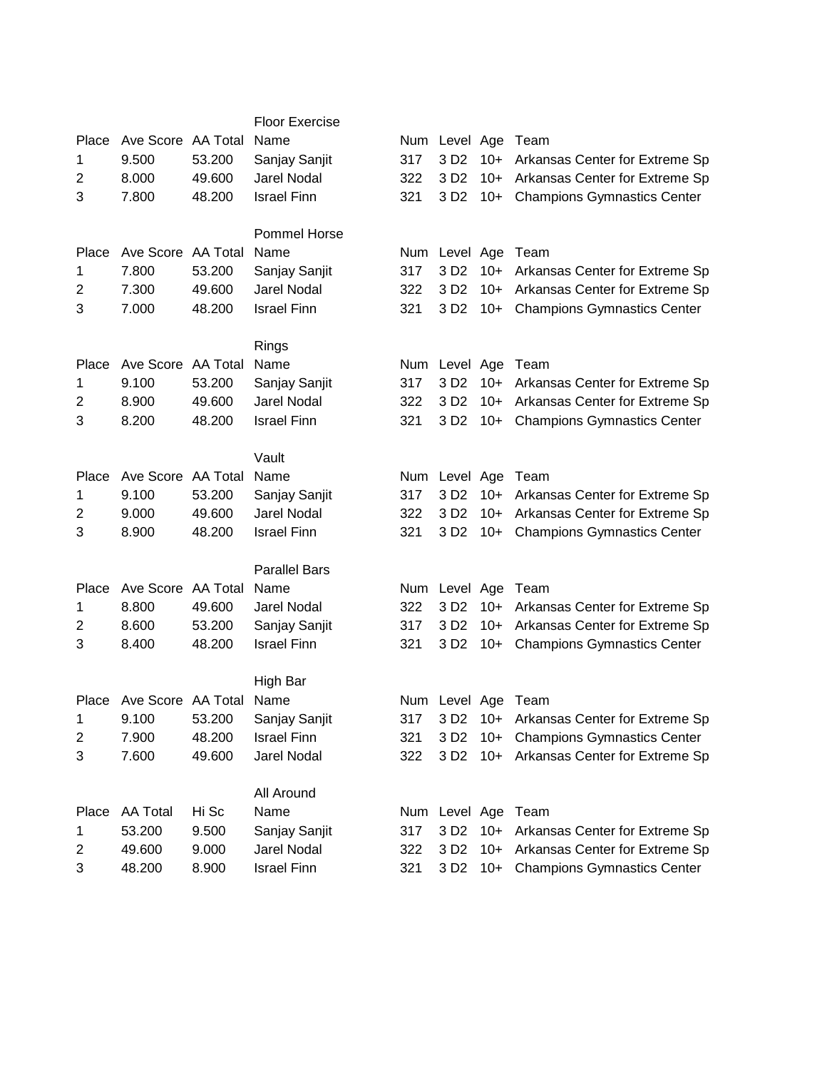|                         |                          |        | <b>Floor Exercise</b>        |            |                    |       |                                         |
|-------------------------|--------------------------|--------|------------------------------|------------|--------------------|-------|-----------------------------------------|
| Place                   | Ave Score AA Total       |        | Name                         |            | Num Level Age Team |       |                                         |
| 1                       | 9.500                    | 53.200 | Sanjay Sanjit                | 317        | 3 D <sub>2</sub>   | $10+$ | Arkansas Center for Extreme Sp          |
| $\overline{c}$          | 8.000                    | 49.600 | Jarel Nodal                  | 322        | 3 D <sub>2</sub>   | $10+$ | Arkansas Center for Extreme Sp          |
| 3                       | 7.800                    | 48.200 | <b>Israel Finn</b>           | 321        | 3 D <sub>2</sub>   | $10+$ | <b>Champions Gymnastics Center</b>      |
|                         |                          |        |                              |            |                    |       |                                         |
|                         |                          |        | Pommel Horse                 |            |                    |       |                                         |
| Place                   | Ave Score AA Total       |        | Name                         | Num        | Level Age Team     |       |                                         |
| 1                       | 7.800                    | 53.200 | Sanjay Sanjit                | 317        | 3 D <sub>2</sub>   | $10+$ | Arkansas Center for Extreme Sp          |
| $\overline{c}$          | 7.300                    | 49.600 | Jarel Nodal                  | 322        | 3 D <sub>2</sub>   |       | 10+ Arkansas Center for Extreme Sp      |
| 3                       | 7.000                    | 48.200 | <b>Israel Finn</b>           | 321        | 3 D <sub>2</sub>   |       | 10+ Champions Gymnastics Center         |
|                         |                          |        | Rings                        |            |                    |       |                                         |
| Place                   | Ave Score AA Total       |        | Name                         | Num        |                    |       | Level Age Team                          |
| 1                       | 9.100                    | 53.200 | Sanjay Sanjit                | 317        | 3 D <sub>2</sub>   | $10+$ | Arkansas Center for Extreme Sp          |
| $\overline{2}$          | 8.900                    | 49.600 | Jarel Nodal                  | 322        | 3 D <sub>2</sub>   | $10+$ | Arkansas Center for Extreme Sp          |
| 3                       | 8.200                    | 48.200 | <b>Israel Finn</b>           | 321        | 3 D <sub>2</sub>   |       | 10+ Champions Gymnastics Center         |
|                         |                          |        |                              |            |                    |       |                                         |
|                         |                          |        | Vault                        |            |                    |       |                                         |
| Place                   | Ave Score AA Total       |        | Name                         |            | Num Level Age Team |       |                                         |
| 1                       | 9.100                    | 53.200 | Sanjay Sanjit                | 317        | 3 D <sub>2</sub>   | $10+$ | Arkansas Center for Extreme Sp          |
| $\overline{2}$          | 9.000                    | 49.600 | Jarel Nodal                  | 322        | 3 D <sub>2</sub>   | $10+$ | Arkansas Center for Extreme Sp          |
| 3                       | 8.900                    | 48.200 | <b>Israel Finn</b>           | 321        | 3 D <sub>2</sub>   |       | 10+ Champions Gymnastics Center         |
|                         |                          |        |                              |            |                    |       |                                         |
|                         | Ave Score AA Total       |        | <b>Parallel Bars</b><br>Name |            |                    |       |                                         |
| Place                   |                          | 49.600 | Jarel Nodal                  | Num<br>322 |                    |       | Level Age Team                          |
| 1                       | 8.800                    |        |                              |            | 3 D <sub>2</sub>   |       | 10+ Arkansas Center for Extreme Sp      |
| $\overline{\mathbf{c}}$ | 8.600                    | 53.200 | Sanjay Sanjit                | 317        | 3 D <sub>2</sub>   | $10+$ | Arkansas Center for Extreme Sp          |
| 3                       | 8.400                    | 48.200 | <b>Israel Finn</b>           | 321        | 3 D <sub>2</sub>   | $10+$ | <b>Champions Gymnastics Center</b>      |
|                         |                          |        | High Bar                     |            |                    |       |                                         |
|                         | Place Ave Score AA Total |        | Name                         |            | Num Level Age Team |       |                                         |
| 1.                      | 9.100                    | 53.200 | Sanjay Sanjit                | 317        |                    |       | 3 D2 10+ Arkansas Center for Extreme Sp |
| 2                       | 7.900                    | 48.200 | <b>Israel Finn</b>           | 321        |                    |       | 3 D2 10+ Champions Gymnastics Center    |
| 3                       | 7.600                    | 49.600 | Jarel Nodal                  | 322        |                    |       | 3 D2 10+ Arkansas Center for Extreme Sp |
|                         |                          |        |                              |            |                    |       |                                         |
|                         |                          |        | All Around                   |            |                    |       |                                         |
| Place                   | <b>AA Total</b>          | Hi Sc  | Name                         | Num        |                    |       | Level Age Team                          |
| 1                       | 53.200                   | 9.500  | Sanjay Sanjit                | 317        | 3 D <sub>2</sub>   | $10+$ | Arkansas Center for Extreme Sp          |
| 2                       | 49.600                   | 9.000  | <b>Jarel Nodal</b>           | 322        | 3 D <sub>2</sub>   |       | 10+ Arkansas Center for Extreme Sp      |
| 3                       | 48.200                   | 8.900  | <b>Israel Finn</b>           | 321        | 3 D <sub>2</sub>   |       | 10+ Champions Gymnastics Center         |